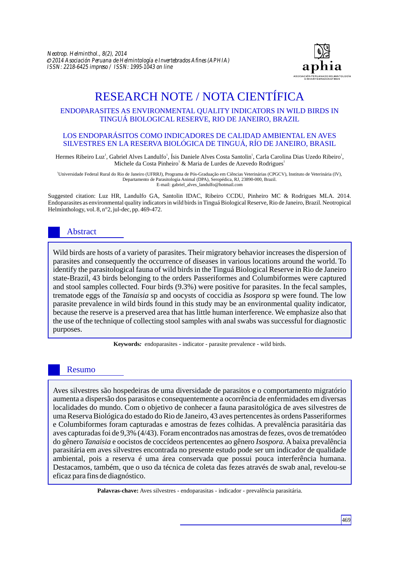

# RESEARCH NOTE / NOTA CIENTÍFICA

## ENDOPARASITES AS ENVIRONMENTAL QUALITY INDICATORS IN WILD BIRDS IN TINGUÁ BIOLOGICAL RESERVE, RIO DE JANEIRO, BRAZIL

#### LOS ENDOPARÁSITOS COMO INDICADORES DE CALIDAD AMBIENTAL EN AVES SILVESTRES EN LA RESERVA BIOLÓGICA DE TINGUÁ, RÍO DE JANEIRO, BRASIL

Hermes Ribeiro Luz<sup>1</sup>, Gabriel Alves Landulfo<sup>1</sup>, Ísis Daniele Alves Costa Santolin<sup>1</sup>, Carla Carolina Dias Uzedo Ribeiro<sup>1</sup>, Michele da Costa Pinheiro<sup>1</sup> & Maria de Lurdes de Azevedo Rodrigues<sup>1</sup>

<sup>1</sup>Universidade Federal Rural do Rio de Janeiro (UFRRJ), Programa de Pós-Graduação em Ciências Veterinárias (CPGCV), Instituto de Veterinária (IV), Departamento de Parasitologia Animal (DPA), Seropédica, RJ, 23890-000, Brazil. E-mail: gabriel\_alves\_landulfo@hotmail.com

Suggested citation: Luz HR, Landulfo GA, Santolin IDAC, Ribeiro CCDU, Pinheiro MC & Rodrigues MLA. 2014. Endoparasites as environmental quality indicators in wild birds in Tinguá Biological Reserve, Rio de Janeiro, Brazil. Neotropical Helminthology, vol. 8, n°2, jul-dec, pp. 469-472.

# Abstract

Wild birds are hosts of a variety of parasites. Their migratory behavior increases the dispersion of parasites and consequently the occurrence of diseases in various locations around the world. To identify the parasitological fauna of wild birds in the Tinguá Biological Reserve in Rio de Janeiro state-Brazil, 43 birds belonging to the orders Passeriformes and Columbiformes were captured and stool samples collected. Four birds (9.3%) were positive for parasites. In the fecal samples, trematode eggs of the *Tanaisia* sp and oocysts of coccidia as *Isospora* sp were found. The low parasite prevalence in wild birds found in this study may be an environmental quality indicator, because the reserve is a preserved area that has little human interference. We emphasize also that the use of the technique of collecting stool samples with anal swabs was successful for diagnostic purposes.

**Keywords***:* endoparasites - indicator - parasite prevalence - wild birds.

# Resumo

Aves silvestres são hospedeiras de uma diversidade de parasitos e o comportamento migratório aumenta a dispersão dos parasitos e consequentemente a ocorrência de enfermidades em diversas localidades do mundo. Com o objetivo de conhecer a fauna parasitológica de aves silvestres de uma Reserva Biológica do estado do Rio de Janeiro, 43 aves pertencentes às ordens Passeriformes e Columbiformes foram capturadas e amostras de fezes colhidas. A prevalência parasitária das aves capturadas foi de 9,3% (4/43). Foram encontrados nas amostras de fezes, ovos de trematódeo do gênero *Tanaisia* e oocistos de coccídeos pertencentes ao gênero *Isospora.*Abaixa prevalência parasitária em aves silvestres encontrada no presente estudo pode ser um indicador de qualidade ambiental, pois a reserva é uma área conservada que possui pouca interferência humana. Destacamos, também, que o uso da técnica de coleta das fezes através de swab anal, revelou-se eficaz para fins de diagnóstico.

**Palavras-chave:** Aves silvestres - endoparasitas - indicador - prevalência parasitária.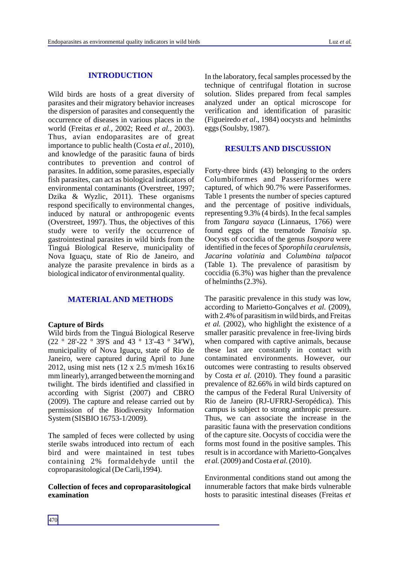#### **INTRODUCTION**

Wild birds are hosts of a great diversity of parasites and their migratory behavior increases the dispersion of parasites and consequently the occurrence of diseases in various places in the world (Freitas *et al.,* 2002; Reed *et al.,* 2003). Thus, avian endoparasites are of great importance to public health (Costa *et al.,* 2010), and knowledge of the parasitic fauna of birds contributes to prevention and control of parasites. In addition, some parasites, especially fish parasites, can act as biological indicators of environmental contaminants (Overstreet, 1997; Dzika & Wyzlic, 2011). These organisms respond specifically to environmental changes, induced by natural or anthropogenic events (Overstreet, 1997). Thus, the objectives of this study were to verify the occurrence of gastrointestinal parasites in wild birds from the Tinguá Biological Reserve, municipality of Nova Iguaçu, state of Rio de Janeiro, and analyze the parasite prevalence in birds as a biological indicator of environmental quality.

## **MATERIALAND METHODS**

#### **Capture of Birds**

Wild birds from the Tinguá Biological Reserve (22 º 28'-22 º 39'S and 43 º 13'-43 º 34'W), municipality of Nova Iguaçu, state of Rio de Janeiro, were captured during April to June 2012, using mist nets (12 x 2.5 m/mesh 16x16 mm linearly), arranged between the morning and twilight. The birds identified and classified in according with Sigrist (2007) and CBRO (2009). The capture and release carried out by permission of the Biodiversity Information System (SISBIO 16753-1/2009).

The sampled of feces were collected by using sterile swabs introduced into rectum of each bird and were maintained in test tubes containing 2% formaldehyde until the coproparasitological (De Carli,1994).

## **Collection of feces and coproparasitological examination**

In the laboratory, fecal samples processed by the technique of centrifugal flotation in sucrose solution. Slides prepared from fecal samples analyzed under an optical microscope for verification and identification of parasitic (Figueiredo *et al*., 1984) oocysts and helminths eggs (Soulsby, 1987).

#### **RESULTS AND DISCUSSION**

Forty-three birds (43) belonging to the orders Columbiformes and Passeriformes were captured, of which 90.7% were Passeriformes. Table 1 presents the number of species captured and the percentage of positive individuals, representing 9.3% (4 birds). In the fecal samples from *Tangara sayaca* (Linnaeus, 1766) were found eggs of the trematode *Tanaisia* sp. Oocysts of coccidia of the genus *Isospora* were identified in the feces of *Sporophila cearulensis, Jacarina volatinia* and *Columbina talpacot*  (Table 1). The prevalence of parasitism by coccidia (6.3%) was higher than the prevalence of helminths (2.3%).

The parasitic prevalence in this study was low, according to Marietto-Gonçalves *et al.* (2009), with 2.4% of parasitism in wild birds, and Freitas *et al.* (2002), who highlight the existence of a smaller parasitic prevalence in free-living birds when compared with captive animals, because these last are constantly in contact with contaminated environments. However, our outcomes were contrasting to results observed by Costa *et al.* (2010). They found a parasitic prevalence of 82.66% in wild birds captured on the campus of the Federal Rural University of Rio de Janeiro (RJ-UFRRJ-Seropédica). This campus is subject to strong anthropic pressure. Thus, we can associate the increase in the parasitic fauna with the preservation conditions of the capture site. Oocysts of coccidia were the forms most found in the positive samples. This result is in accordance with Marietto-Gonçalves *et al.*(2009) and Costa *et al.*(2010).

Environmental conditions stand out among the innumerable factors that make birds vulnerable hosts to parasitic intestinal diseases (Freitas *et*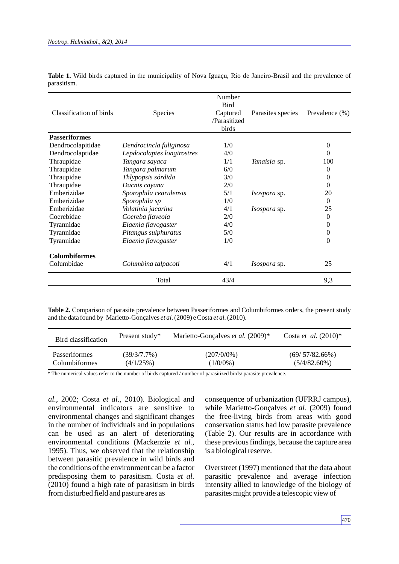| Classification of birds | Species                    | Number<br><b>Bird</b><br>Captured<br>/Parasitized<br>birds | Parasites species   | Prevalence (%) |
|-------------------------|----------------------------|------------------------------------------------------------|---------------------|----------------|
| <b>Passeriformes</b>    |                            |                                                            |                     |                |
| Dendrocolapitidae       | Dendrocincla fuliginosa    | 1/0                                                        |                     | 0              |
| Dendrocolaptidae        | Lepdocolaptes longirostres | 4/0                                                        |                     | 0              |
| Thraupidae              | Tangara sayaca             | 1/1                                                        | Tanaisia sp.        | 100            |
| Thraupidae              | Tangara palmarum           | 6/0                                                        |                     | $\theta$       |
| Thraupidae              | Thlypopsis sórdida         | 3/0                                                        |                     | 0              |
| Thraupidae              | Dacnis cayana              | 2/0                                                        |                     | 0              |
| Emberizidae             | Sporophila cearulensis     | 5/1                                                        | <i>Isospora</i> sp. | 20             |
| Emberizidae             | Sporophila sp              | 1/0                                                        |                     | $\Omega$       |
| Emberizidae             | Volatinia jacarina         | 4/1                                                        | <i>Isospora</i> sp. | 25             |
| Coerebidae              | Coereba flaveola           | 2/0                                                        |                     | $\Omega$       |
| Tyrannidae              | Elaenia flavogaster        | 4/0                                                        |                     | 0              |
| Tyrannidae              | Pitangus sulphuratus       | 5/0                                                        |                     | 0              |
| Tyrannidae              | Elaenia flavogaster        | 1/0                                                        |                     | $\Omega$       |
| <b>Columbiformes</b>    |                            |                                                            |                     |                |
| Columbidae              | Columbina talpacoti        | 4/1                                                        | <i>Isospora</i> sp. | 25             |
|                         | Total                      | 43/4                                                       |                     | 9,3            |

**Table 1.** Wild birds captured in the municipality of Nova Iguaçu, Rio de Janeiro-Brasil and the prevalence of parasitism.

**Table 2.** Comparison of parasite prevalence between Passeriformes and Columbiformes orders, the present study and the data found by Marietto-Gonçalves *et al.*(2009) e Costa *et al.* (2010).

| Bird classification  | Present study* | Marietto-Gonçalves et al. (2009)* | Costa et al. $(2010)^*$ |
|----------------------|----------------|-----------------------------------|-------------------------|
| <b>Passeriformes</b> | $(39/3/7.7\%)$ | $(207/0/0\%)$                     | (69/57/82.66%)          |
| Columbiformes        | $(4/1/25\%)$   | $(1/0/0\%)$                       | $(5/4/82.60\%)$         |

\* The numerical values refer to the number of birds captured / number of parasitized birds/ parasite prevalence.

*al.,* 2002; Costa *et al.,* 2010). Biological and environmental indicators are sensitive to environmental changes and significant changes in the number of individuals and in populations can be used as an alert of deteriorating environmental conditions (Mackenzie *et al.,* 1995). Thus, we observed that the relationship between parasitic prevalence in wild birds and the conditions of the environment can be a factor predisposing them to parasitism. Costa *et al.* (2010) found a high rate of parasitism in birds from disturbed field and pasture ares as

consequence of urbanization (UFRRJ campus), while Marietto-Gonçalves *et al.* (2009) found the free-living birds from areas with good conservation status had low parasite prevalence (Table 2). Our results are in accordance with these previous findings, because the capture area is a biological reserve.

Overstreet (1997) mentioned that the data about parasitic prevalence and average infection intensity allied to knowledge of the biology of parasites might provide a telescopic view of